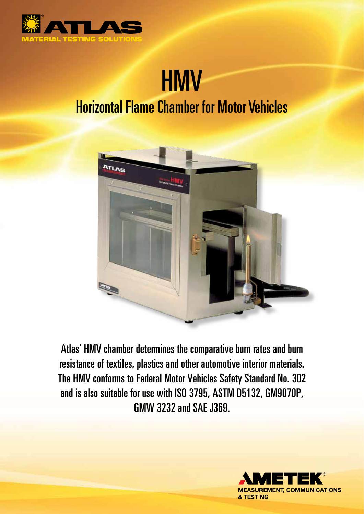

## **HMV** Horizontal Flame Chamber for Motor Vehicles



Atlas' HMV chamber determines the comparative burn rates and burn resistance of textiles, plastics and other automotive interior materials. The HMV conforms to Federal Motor Vehicles Safety Standard No. 302 and is also suitable for use with ISO 3795, ASTM D5132, GM9070P, GMW 3232 and SAE J369.